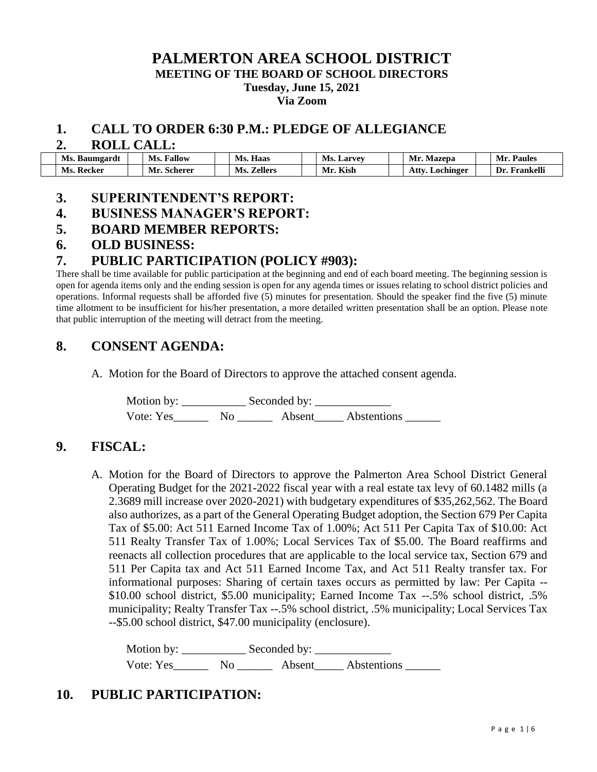## **PALMERTON AREA SCHOOL DISTRICT MEETING OF THE BOARD OF SCHOOL DIRECTORS Tuesday, June 15, 2021 Via Zoom**

#### **1. CALL TO ORDER 6:30 P.M.: PLEDGE OF ALLEGIANCE**

#### **2. ROLL CALL:**

| Ms. Baumgardt | <b>Fallow</b><br>Ms. | Haas<br>Ms.           | <b>Ms. Larvey</b> | Mr. Mazepa             | <b>Paules</b><br>Mr. |
|---------------|----------------------|-----------------------|-------------------|------------------------|----------------------|
| Ms. Recker    | Mr. Scherer          | Ms.<br><b>Zellers</b> | Kish<br>Mr.       | <b>Atty. Lochinger</b> | Frankelli<br>Dr.     |

#### **3. SUPERINTENDENT'S REPORT:**

#### **4. BUSINESS MANAGER'S REPORT:**

## **5. BOARD MEMBER REPORTS:**

## **6. OLD BUSINESS:**

## **7. PUBLIC PARTICIPATION (POLICY #903):**

There shall be time available for public participation at the beginning and end of each board meeting. The beginning session is open for agenda items only and the ending session is open for any agenda times or issues relating to school district policies and operations. Informal requests shall be afforded five (5) minutes for presentation. Should the speaker find the five (5) minute time allotment to be insufficient for his/her presentation, a more detailed written presentation shall be an option. Please note that public interruption of the meeting will detract from the meeting.

## **8. CONSENT AGENDA:**

A. Motion for the Board of Directors to approve the attached consent agenda.

Motion by: \_\_\_\_\_\_\_\_\_\_\_ Seconded by: \_\_\_\_\_\_\_\_\_\_\_\_\_ Vote: Yes\_\_\_\_\_\_\_\_ No \_\_\_\_\_\_\_\_ Absent\_\_\_\_\_ Abstentions \_\_\_\_\_\_\_

## **9. FISCAL:**

A. Motion for the Board of Directors to approve the Palmerton Area School District General Operating Budget for the 2021-2022 fiscal year with a real estate tax levy of 60.1482 mills (a 2.3689 mill increase over 2020-2021) with budgetary expenditures of \$35,262,562. The Board also authorizes, as a part of the General Operating Budget adoption, the Section 679 Per Capita Tax of \$5.00: Act 511 Earned Income Tax of 1.00%; Act 511 Per Capita Tax of \$10.00: Act 511 Realty Transfer Tax of 1.00%; Local Services Tax of \$5.00. The Board reaffirms and reenacts all collection procedures that are applicable to the local service tax, Section 679 and 511 Per Capita tax and Act 511 Earned Income Tax, and Act 511 Realty transfer tax. For informational purposes: Sharing of certain taxes occurs as permitted by law: Per Capita -- \$10.00 school district, \$5.00 municipality; Earned Income Tax --.5% school district, .5% municipality; Realty Transfer Tax --.5% school district, .5% municipality; Local Services Tax --\$5.00 school district, \$47.00 municipality (enclosure).

Motion by: Seconded by: Vote: Yes\_\_\_\_\_\_ No \_\_\_\_\_\_ Absent\_\_\_\_\_ Abstentions \_\_\_\_\_\_

# **10. PUBLIC PARTICIPATION:**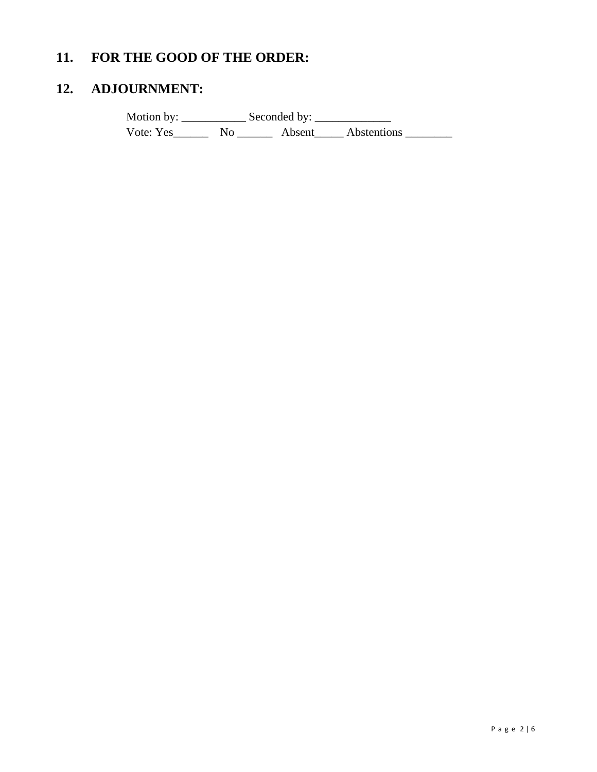# **11. FOR THE GOOD OF THE ORDER:**

# **12. ADJOURNMENT:**

Motion by: \_\_\_\_\_\_\_\_\_\_\_ Seconded by: \_\_\_\_\_\_\_\_\_\_\_\_\_ Vote: Yes\_\_\_\_\_\_\_\_\_ No \_\_\_\_\_\_\_\_ Absent\_\_\_\_\_ Abstentions \_\_\_\_\_\_\_\_\_\_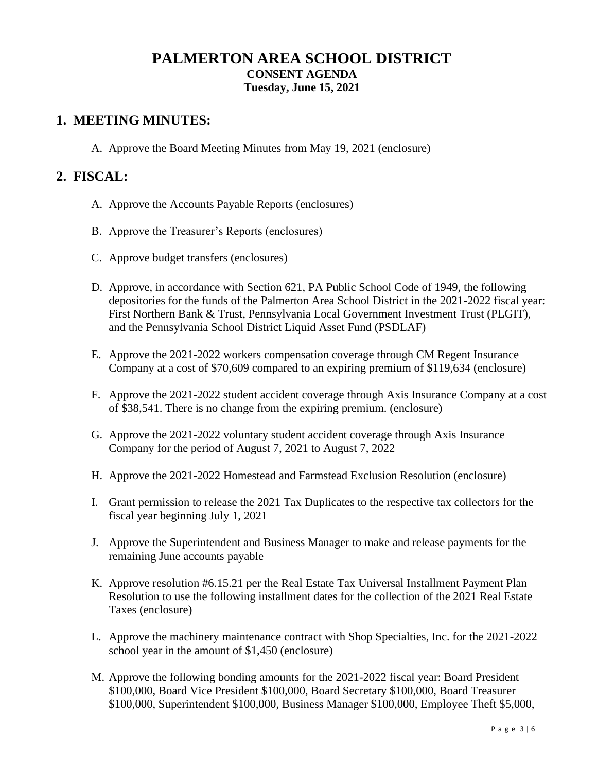# **PALMERTON AREA SCHOOL DISTRICT CONSENT AGENDA Tuesday, June 15, 2021**

## **1. MEETING MINUTES:**

A. Approve the Board Meeting Minutes from May 19, 2021 (enclosure)

## **2. FISCAL:**

- A. Approve the Accounts Payable Reports (enclosures)
- B. Approve the Treasurer's Reports (enclosures)
- C. Approve budget transfers (enclosures)
- D. Approve, in accordance with Section 621, PA Public School Code of 1949, the following depositories for the funds of the Palmerton Area School District in the 2021-2022 fiscal year: First Northern Bank & Trust, Pennsylvania Local Government Investment Trust (PLGIT), and the Pennsylvania School District Liquid Asset Fund (PSDLAF)
- E. Approve the 2021-2022 workers compensation coverage through CM Regent Insurance Company at a cost of \$70,609 compared to an expiring premium of \$119,634 (enclosure)
- F. Approve the 2021-2022 student accident coverage through Axis Insurance Company at a cost of \$38,541. There is no change from the expiring premium. (enclosure)
- G. Approve the 2021-2022 voluntary student accident coverage through Axis Insurance Company for the period of August 7, 2021 to August 7, 2022
- H. Approve the 2021-2022 Homestead and Farmstead Exclusion Resolution (enclosure)
- I. Grant permission to release the 2021 Tax Duplicates to the respective tax collectors for the fiscal year beginning July 1, 2021
- J. Approve the Superintendent and Business Manager to make and release payments for the remaining June accounts payable
- K. Approve resolution #6.15.21 per the Real Estate Tax Universal Installment Payment Plan Resolution to use the following installment dates for the collection of the 2021 Real Estate Taxes (enclosure)
- L. Approve the machinery maintenance contract with Shop Specialties, Inc. for the 2021-2022 school year in the amount of \$1,450 (enclosure)
- M. Approve the following bonding amounts for the 2021-2022 fiscal year: Board President \$100,000, Board Vice President \$100,000, Board Secretary \$100,000, Board Treasurer \$100,000, Superintendent \$100,000, Business Manager \$100,000, Employee Theft \$5,000,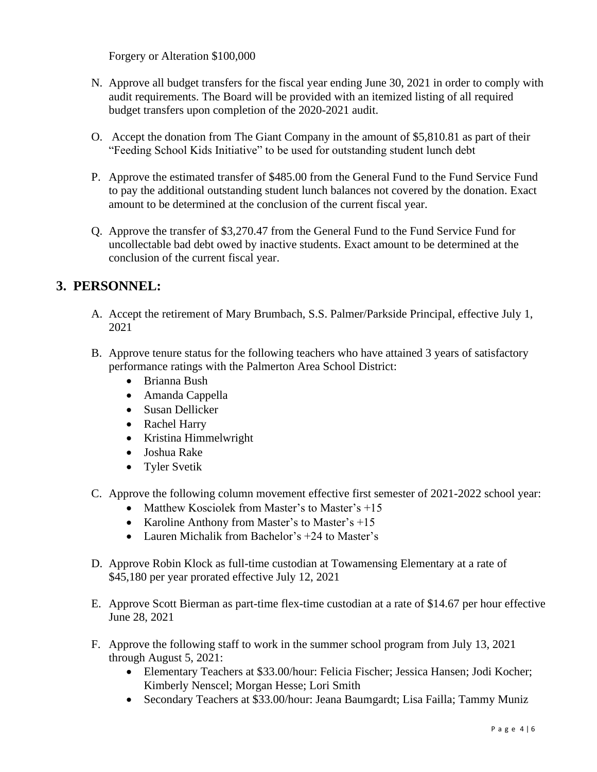Forgery or Alteration \$100,000

- N. Approve all budget transfers for the fiscal year ending June 30, 2021 in order to comply with audit requirements. The Board will be provided with an itemized listing of all required budget transfers upon completion of the 2020-2021 audit.
- O. Accept the donation from The Giant Company in the amount of \$5,810.81 as part of their "Feeding School Kids Initiative" to be used for outstanding student lunch debt
- P. Approve the estimated transfer of \$485.00 from the General Fund to the Fund Service Fund to pay the additional outstanding student lunch balances not covered by the donation. Exact amount to be determined at the conclusion of the current fiscal year.
- Q. Approve the transfer of \$3,270.47 from the General Fund to the Fund Service Fund for uncollectable bad debt owed by inactive students. Exact amount to be determined at the conclusion of the current fiscal year.

# **3. PERSONNEL:**

- A. Accept the retirement of Mary Brumbach, S.S. Palmer/Parkside Principal, effective July 1, 2021
- B. Approve tenure status for the following teachers who have attained 3 years of satisfactory performance ratings with the Palmerton Area School District:
	- Brianna Bush
	- Amanda Cappella
	- Susan Dellicker
	- Rachel Harry
	- Kristina Himmelwright
	- Joshua Rake
	- Tyler Svetik
- C. Approve the following column movement effective first semester of 2021-2022 school year:
	- Matthew Kosciolek from Master's to Master's +15
	- Karoline Anthony from Master's to Master's +15
	- Lauren Michalik from Bachelor's +24 to Master's
- D. Approve Robin Klock as full-time custodian at Towamensing Elementary at a rate of \$45,180 per year prorated effective July 12, 2021
- E. Approve Scott Bierman as part-time flex-time custodian at a rate of \$14.67 per hour effective June 28, 2021
- F. Approve the following staff to work in the summer school program from July 13, 2021 through August 5, 2021:
	- Elementary Teachers at \$33.00/hour: Felicia Fischer; Jessica Hansen; Jodi Kocher; Kimberly Nenscel; Morgan Hesse; Lori Smith
	- Secondary Teachers at \$33.00/hour: Jeana Baumgardt; Lisa Failla; Tammy Muniz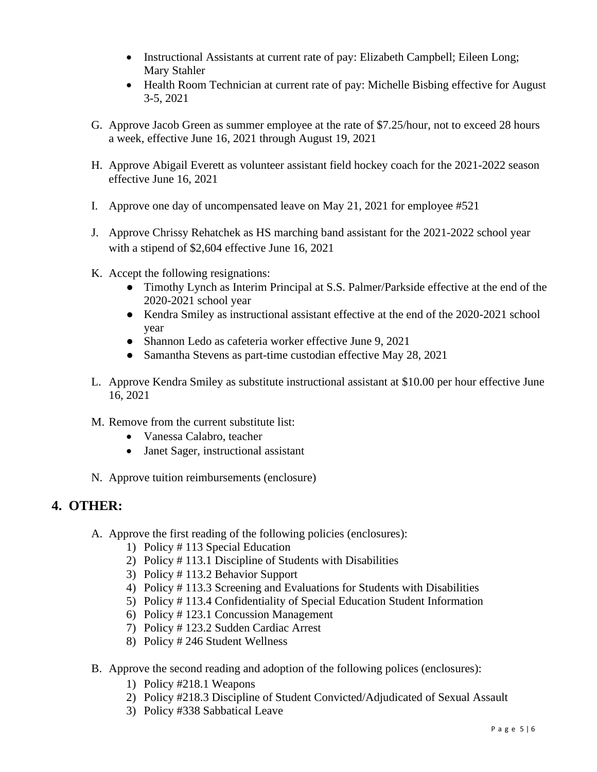- Instructional Assistants at current rate of pay: Elizabeth Campbell; Eileen Long; Mary Stahler
- Health Room Technician at current rate of pay: Michelle Bisbing effective for August 3-5, 2021
- G. Approve Jacob Green as summer employee at the rate of \$7.25/hour, not to exceed 28 hours a week, effective June 16, 2021 through August 19, 2021
- H. Approve Abigail Everett as volunteer assistant field hockey coach for the 2021-2022 season effective June 16, 2021
- I. Approve one day of uncompensated leave on May 21, 2021 for employee #521
- J. Approve Chrissy Rehatchek as HS marching band assistant for the 2021-2022 school year with a stipend of \$2,604 effective June 16, 2021
- K. Accept the following resignations:
	- Timothy Lynch as Interim Principal at S.S. Palmer/Parkside effective at the end of the 2020-2021 school year
	- Kendra Smiley as instructional assistant effective at the end of the 2020-2021 school year
	- Shannon Ledo as cafeteria worker effective June 9, 2021
	- Samantha Stevens as part-time custodian effective May 28, 2021
- L. Approve Kendra Smiley as substitute instructional assistant at \$10.00 per hour effective June 16, 2021
- M. Remove from the current substitute list:
	- Vanessa Calabro, teacher
	- Janet Sager, instructional assistant
- N. Approve tuition reimbursements (enclosure)

# **4. OTHER:**

- A. Approve the first reading of the following policies (enclosures):
	- 1) Policy # 113 Special Education
	- 2) Policy # 113.1 Discipline of Students with Disabilities
	- 3) Policy # 113.2 Behavior Support
	- 4) Policy # 113.3 Screening and Evaluations for Students with Disabilities
	- 5) Policy # 113.4 Confidentiality of Special Education Student Information
	- 6) Policy # 123.1 Concussion Management
	- 7) Policy # 123.2 Sudden Cardiac Arrest
	- 8) Policy # 246 Student Wellness
- B. Approve the second reading and adoption of the following polices (enclosures):
	- 1) Policy #218.1 Weapons
	- 2) Policy #218.3 Discipline of Student Convicted/Adjudicated of Sexual Assault
	- 3) Policy #338 Sabbatical Leave